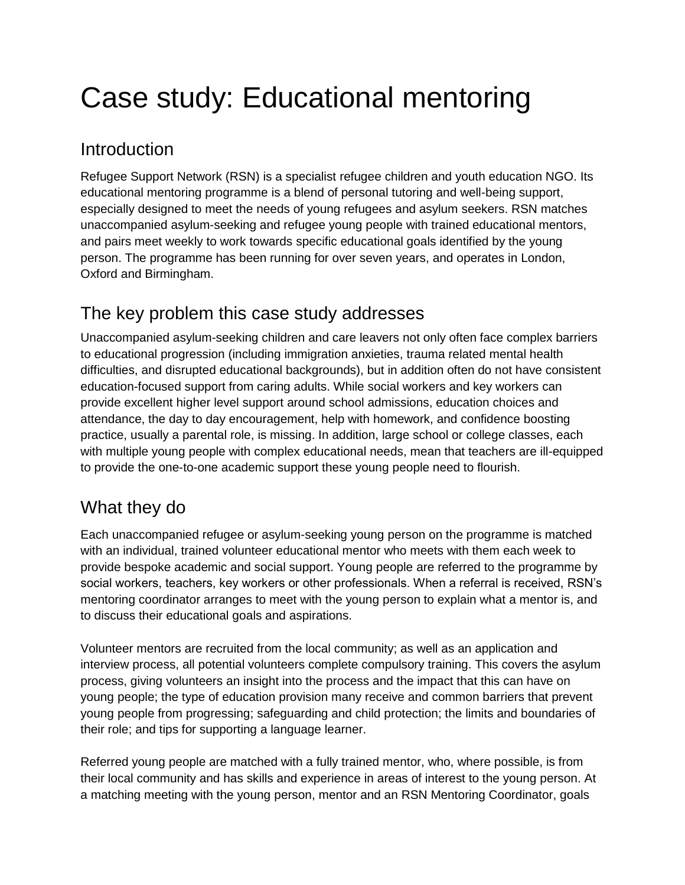# Case study: Educational mentoring

#### Introduction

Refugee Support Network (RSN) is a specialist refugee children and youth education NGO. Its educational mentoring programme is a blend of personal tutoring and well-being support, especially designed to meet the needs of young refugees and asylum seekers. RSN matches unaccompanied asylum-seeking and refugee young people with trained educational mentors, and pairs meet weekly to work towards specific educational goals identified by the young person. The programme has been running for over seven years, and operates in London, Oxford and Birmingham.

# The key problem this case study addresses

Unaccompanied asylum-seeking children and care leavers not only often face complex barriers to educational progression (including immigration anxieties, trauma related mental health difficulties, and disrupted educational backgrounds), but in addition often do not have consistent education-focused support from caring adults. While social workers and key workers can provide excellent higher level support around school admissions, education choices and attendance, the day to day encouragement, help with homework, and confidence boosting practice, usually a parental role, is missing. In addition, large school or college classes, each with multiple young people with complex educational needs, mean that teachers are ill-equipped to provide the one-to-one academic support these young people need to flourish.

## What they do

Each unaccompanied refugee or asylum-seeking young person on the programme is matched with an individual, trained volunteer educational mentor who meets with them each week to provide bespoke academic and social support. Young people are referred to the programme by social workers, teachers, key workers or other professionals. When a referral is received, RSN's mentoring coordinator arranges to meet with the young person to explain what a mentor is, and to discuss their educational goals and aspirations.

Volunteer mentors are recruited from the local community; as well as an application and interview process, all potential volunteers complete compulsory training. This covers the asylum process, giving volunteers an insight into the process and the impact that this can have on young people; the type of education provision many receive and common barriers that prevent young people from progressing; safeguarding and child protection; the limits and boundaries of their role; and tips for supporting a language learner.

Referred young people are matched with a fully trained mentor, who, where possible, is from their local community and has skills and experience in areas of interest to the young person. At a matching meeting with the young person, mentor and an RSN Mentoring Coordinator, goals